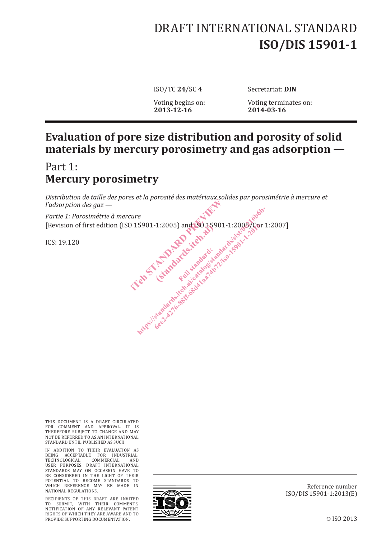# DRAFT INTERNATIONAL STANDARD **ISO/DIS 15901-1**

ISO/TC **24**/SC **4** Secretariat: **DIN**

Voting begins on: Voting terminates on:<br>2013-12-16 2014-03-16 **2013-12-16 2014-03-16**

# **Evaluation of pore size distribution and porosity of solid materials by mercury porosimetry and gas adsorption —**

# Part 1: **Mercury porosimetry**

*Distribution de taille des pores et la porosité des matériaux solides par porosimétrie à mercure et l'adsorption des gaz —*

*Partie 1: Porosimétrie à mercure* [Revision of first edition (ISO 15901-1:2005) and ISO 15901-1:2005/Cor 1:2007] Elize of the Mario 15901-1:2005) and 190 15901-1:2005 Elandards.iteh.ai https://standards.iteh.aspxb.iteh.aspxb.iteh.aspxb.iteh.aspxb.iteh.aspxb.iteh.aspxb.iteh.aspxb.iteh.aspxb.iteh.aspxb.iteh.aspxb.iteh.aspxb.iteh.aspxb.iteh.aspxb.iteh.aspxb.iteh.aspxb.iteh.aspxb.iteh.aspxb.iteh.aspxb.iteh.a 6ee2-4276-88f -68d41aa74b72/iso-15901-1-2016

ICS: 19.120

THIS DOCUMENT IS A DRAFT CIRCULATED FOR COMMENT AND APPROVAL. IT IS THEREFORE SUBJECT TO CHANGE AND MAY NOT BE REFERRED TO AS AN INTERNATIONAL STANDARD UNTIL PUBLISHED AS SUCH.

IN ADDITION TO THEIR EVALUATION AS BEING ACCEPTABLE FOR INDUSTRIAL, TECHNOLOGICAL, COMMERCIAL AND USER PURPOSES, DRAFT INTERNATIONAL STANDARDS MAY ON OCCASION HAVE TO BE CONSIDERED IN THE LIGHT OF THEIR POTENTIAL TO BECOME STANDARDS TO WHICH REFERENCE MAY BE MADE IN NATIONAL REGULATIONS.

RECIPIENTS OF THIS DRAFT ARE INVITED TO SUBMIT, WITH THEIR COMMENTS, NOTIFICATION OF ANY RELEVANT PATENT RIGHTS OF WHICH THEY ARE AWARE AND TO PROVIDE SUPPORTING DOCUMENTATION.



Reference number ISO/DIS 15901-1:2013(E)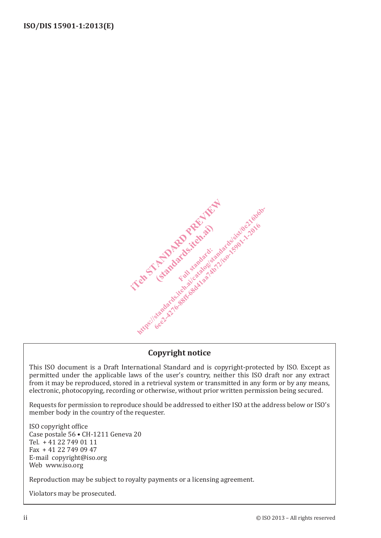

# **Copyright notice**

This ISO document is a Draft International Standard and is copyright-protected by ISO. Except as permitted under the applicable laws of the user's country, neither this ISO draft nor any extract from it may be reproduced, stored in a retrieval system or transmitted in any form or by any means, electronic, photocopying, recording or otherwise, without prior written permission being secured.

Requests for permission to reproduce should be addressed to either ISO at the address below or ISO's member body in the country of the requester.

ISO copyright office Case postale 56 • CH-1211 Geneva 20 Tel. + 41 22 749 01 11 Fax + 41 22 749 09 47 E-mail copyright@iso.org Web www.iso.org

Reproduction may be subject to royalty payments or a licensing agreement.

Violators may be prosecuted.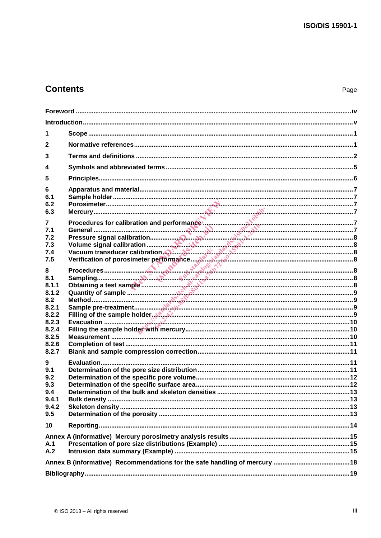# **Contents**

| 1              |                                                                                                                                                                                                                                |  |
|----------------|--------------------------------------------------------------------------------------------------------------------------------------------------------------------------------------------------------------------------------|--|
| $\mathbf{2}$   |                                                                                                                                                                                                                                |  |
| 3              |                                                                                                                                                                                                                                |  |
| 4              |                                                                                                                                                                                                                                |  |
| 5              |                                                                                                                                                                                                                                |  |
| 6              |                                                                                                                                                                                                                                |  |
| 6.1            |                                                                                                                                                                                                                                |  |
| 6.2            |                                                                                                                                                                                                                                |  |
| 6.3            |                                                                                                                                                                                                                                |  |
| 7<br>7.1       | Procedures for calibration and performance and the contract of the contract of the contract of the contract of the contract of the contract of the contract of the contract of the contract of the contract of the contract of |  |
| 7.2            |                                                                                                                                                                                                                                |  |
| 7.3            |                                                                                                                                                                                                                                |  |
| 7.4<br>7.5     |                                                                                                                                                                                                                                |  |
|                |                                                                                                                                                                                                                                |  |
| 8<br>8.1       | Procedures<br>Sampling<br>Obtaining a test sample<br>Quantity of sample                                                                                                                                                        |  |
| 8.1.1          |                                                                                                                                                                                                                                |  |
| 8.1.2          |                                                                                                                                                                                                                                |  |
| 8.2<br>8.2.1   |                                                                                                                                                                                                                                |  |
| 8.2.2          | Filling of the sample holder هي المستند بالمستند المستند المستند المستند المستند المستند المستند المستند المستند                                                                                                               |  |
| 8.2.3          |                                                                                                                                                                                                                                |  |
| 8.2.4<br>8.2.5 |                                                                                                                                                                                                                                |  |
| 8.2.6          |                                                                                                                                                                                                                                |  |
| 8.2.7          |                                                                                                                                                                                                                                |  |
| 9              |                                                                                                                                                                                                                                |  |
| 9.1<br>9.2     |                                                                                                                                                                                                                                |  |
| 9.3            |                                                                                                                                                                                                                                |  |
| 9.4            |                                                                                                                                                                                                                                |  |
| 9.4.1<br>9.4.2 |                                                                                                                                                                                                                                |  |
| 9.5            |                                                                                                                                                                                                                                |  |
| 10             |                                                                                                                                                                                                                                |  |
|                |                                                                                                                                                                                                                                |  |
| A.1            |                                                                                                                                                                                                                                |  |
| A.2            |                                                                                                                                                                                                                                |  |
|                |                                                                                                                                                                                                                                |  |
|                |                                                                                                                                                                                                                                |  |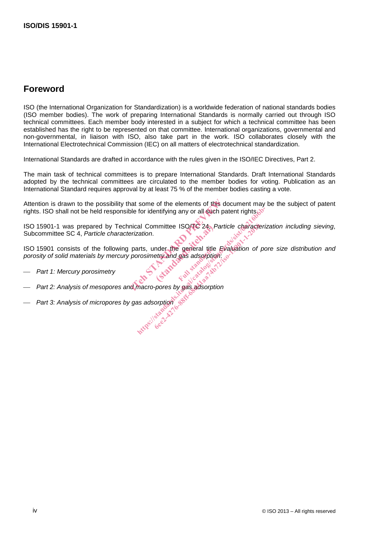# **Foreword**

ISO (the International Organization for Standardization) is a worldwide federation of national standards bodies (ISO member bodies). The work of preparing International Standards is normally carried out through ISO technical committees. Each member body interested in a subject for which a technical committee has been established has the right to be represented on that committee. International organizations, governmental and non-governmental, in liaison with ISO, also take part in the work. ISO collaborates closely with the International Electrotechnical Commission (IEC) on all matters of electrotechnical standardization.

International Standards are drafted in accordance with the rules given in the ISO/IEC Directives, Part 2.

The main task of technical committees is to prepare International Standards. Draft International Standards adopted by the technical committees are circulated to the member bodies for voting. Publication as an International Standard requires approval by at least 75 % of the member bodies casting a vote.

Attention is drawn to the possibility that some of the elements of this document may be the subject of patent rights. ISO shall not be held responsible for identifying any or all such patent rights. independent of the elements of this docuble for identifying any or all such pater<br>nical Committee ISO/TC 24, Particle<br>erization.<br>parts, under the general title Evaluation<br>porosimetry and gas adsorption:

ISO 15901-1 was prepared by Technical Committee ISO/TC 24, *Particle characterization including sieving*, Subcommittee SC 4, *Particle characterization*. for identifying any or all such patent rights of<br>all Committee ISO/TC 24, Particle character<br>zation.<br>ants, under the general title Evaluation of p<br>prosimetry and gas adsorption.<br>the catalogical catalogical catalogical cata

ISO 15901 consists of the following parts, under the general title *Evaluation of pore size distribution and*  porosity of solid materials by mercury porosimetry and gas adsorption:<br>
Full standard: Mercury porosimetry mmittee ISO/TC 24, P<br>
nder the general title<br>
etry and gas adsorption<br>
etry and case adsorption mmittee ISO/TC 24, Particle character<br>Inder the general title Evaluation of<br>etry and gas adsorption:<br>Process by gas adsorption<br>corption<br>sorption<br>second

- *Part 1: Mercury porosimetry*
- *Part 2: Analysis of mesopores and macro-pores by gas adsorption*
- *Part 3: Analysis of micropores by gas adsorption*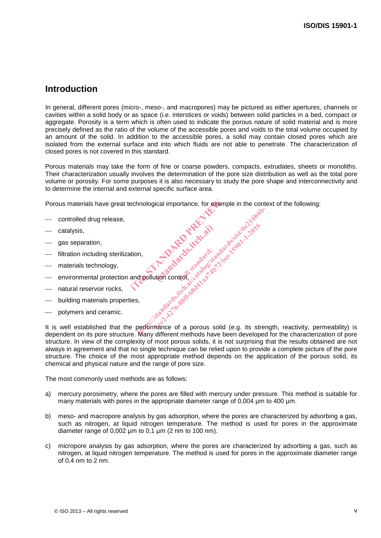# **Introduction**

In general, different pores (micro-, meso-, and macropores) may be pictured as either apertures, channels or cavities within a solid body or as space (i.e. interstices or voids) between solid particles in a bed, compact or aggregate. Porosity is a term which is often used to indicate the porous nature of solid material and is more precisely defined as the ratio of the volume of the accessible pores and voids to the total volume occupied by an amount of the solid. In addition to the accessible pores, a solid may contain closed pores which are isolated from the external surface and into which fluids are not able to penetrate. The characterization of closed pores is not covered in this standard.

Porous materials may take the form of fine or coarse powders, compacts, extrudates, sheets or monoliths. Their characterization usually involves the determination of the pore size distribution as well as the total pore volume or porosity. For some purposes it is also necessary to study the pore shape and interconnectivity and to determine the internal and external specific surface area.

Porous materials have great technological importance, for example in the context of the following: echnological importance, for example<br>tion, and pollution control, sarabately and pollution<br>and pollution control, sarabately and produced

- controlled drug release,
- catalysis,
- gas separation,
- filtration including sterilization,
- materials technology,
- environmental protection and pollution control, (standards.iteh.ai)
- natural reservoir rocks,
- building materials properties,
- polymers and ceramic.

It is well established that the performance of a porous solid (e.g. its strength, reactivity, permeability) is dependent on its pore structure. Many different methods have been developed for the characterization of pore structure. In view of the complexity of most porous solids, it is not surprising that the results obtained are not always in agreement and that no single technique can be relied upon to provide a complete picture of the pore structure. The choice of the most appropriate method depends on the application of the porous solid, its chemical and physical nature and the range of pore size. ht paradex features and the paradex is the paradex of the paradex of the paradex of the paradex of the paradex is the paradex of the paradex of the paradex is the paradex of the paradex is the paradex of the paradex is the Handards-Kehrands-André-Kehrands-André-Kehrands-Kehrands-Kehrands-Kehrands-Kehrands-Kehrands-Kehrands-Kehrands-Kehrands-Kehrands-Kehrands-Kehrands-Kehrands-Kehrands-Kehrands-Kehrands-Kehrands-Kehrands-Kehrands-Kehrands-Keh

The most commonly used methods are as follows:

- a) mercury porosimetry, where the pores are filled with mercury under pressure. This method is suitable for many materials with pores in the appropriate diameter range of 0,004  $\mu$ m to 400  $\mu$ m.
- b) meso- and macropore analysis by gas adsorption, where the pores are characterized by adsorbing a gas, such as nitrogen, at liquid nitrogen temperature. The method is used for pores in the approximate diameter range of  $0.002 \mu m$  to  $0.1 \mu m$  (2 nm to 100 nm).
- c) micropore analysis by gas adsorption, where the pores are characterized by adsorbing a gas, such as nitrogen, at liquid nitrogen temperature. The method is used for pores in the approximate diameter range of 0,4 nm to 2 nm.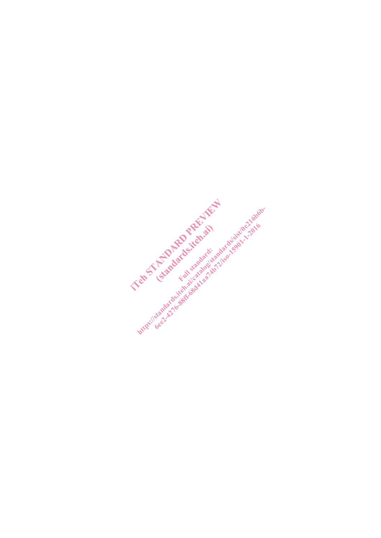Intro- / See AM of the Back of Andrew And Market State and American Analysis of the American American Analysis of American American American American American American American American American American American American Tem of A Property is an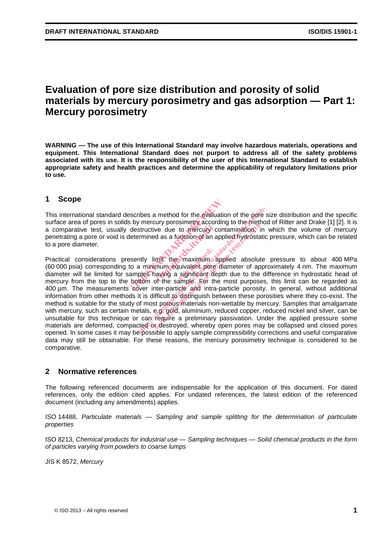# **Evaluation of pore size distribution and porosity of solid materials by mercury porosimetry and gas adsorption — Part 1: Mercury porosimetry**

**WARNING — The use of this International Standard may involve hazardous materials, operations and equipment. This International Standard does not purport to address all of the safety problems associated with its use. It is the responsibility of the user of this International Standard to establish appropriate safety and health practices and determine the applicability of regulatory limitations prior to use.**

# **1 Scope**

This international standard describes a method for the evaluation of the pore size distribution and the specific surface area of pores in solids by mercury porosimetry according to the method of Ritter and Drake [1] [2]. It is a comparative test, usually destructive due to mercury contamination, in which the volume of mercury penetrating a pore or void is determined as a function of an applied hydrostatic pressure, which can be related to a pore diameter.

Practical considerations presently limit the maximum applied absolute pressure to about 400 MPa (60 000 psia) corresponding to a minimum equivalent pore diameter of approximately 4 nm. The maximum diameter will be limited for samples having a significant depth due to the difference in hydrostatic head of mercury from the top to the bottom of the sample. For the most purposes, this limit can be regarded as 400 µm. The measurements cover inter-particle and intra-particle porosity. In general, without additional information from other methods it is difficult to distinguish between these porosities where they co-exist. The method is suitable for the study of most porous materials non-wettable by mercury. Samples that amalgamate with mercury, such as certain metals, e.g. gold, aluminium, reduced copper, reduced nickel and silver, can be unsuitable for this technique or can require a preliminary passivation. Under the applied pressure some materials are deformed, compacted or destroyed, whereby open pores may be collapsed and closed pores opened. In some cases it may be possible to apply sample compressibility corrections and useful comparative data may still be obtainable. For these reasons, the mercury porosimetry technique is considered to be comparative. This international standard describes a method for the evaluation as comparative test, usually destructive due to mercury constanting a comparative test, usually destructive due to mercury contaminative test, usually destr we due to mercury c<br>d as a function of an a<br>military the maximum sequivalent pore<br>aving a significant de<br>of the sample. For the ribes a method for the evaluation of the pore<br>y mercury porosimetry according to the methostructive due to mercury contamination, in<br>ermined as a function of an applied hydrostati<br>aminimum equivalent pore diameter of app<br>p For the thermal according to the them<br>tive due to mercury contamination,<br>and as a function of an applied hydrosta<br>das a function of an applied hydrosta<br>imit the maximum applied absolutinum equivalent pore diameter of appli

# **2 Normative references**

The following referenced documents are indispensable for the application of this document. For dated references, only the edition cited applies. For undated references, the latest edition of the referenced document (including any amendments) applies.

ISO 14488, *Particulate materials — Sampling and sample splitting for the determination of particulate properties*

ISO 8213, *Chemical products for industrial use — Sampling techniques — Solid chemical products in the form of particles varying from powders to coarse lumps*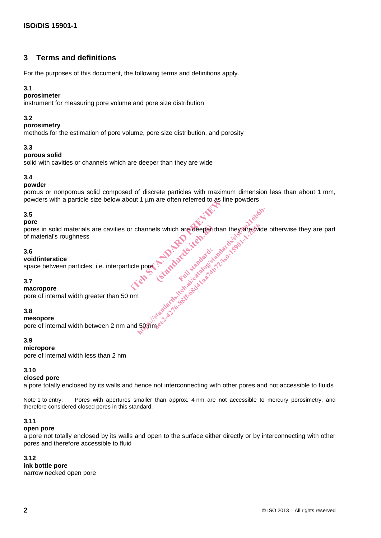# **3 Terms and definitions**

For the purposes of this document, the following terms and definitions apply.

# **3.1**

# **porosimeter**

instrument for measuring pore volume and pore size distribution

# **3.2**

#### **porosimetry**

methods for the estimation of pore volume, pore size distribution, and porosity

# **3.3**

# **porous solid**

solid with cavities or channels which are deeper than they are wide

# **3.4**

#### **powder**

porous or nonporous solid composed of discrete particles with maximum dimension less than about 1 mm, powders with a particle size below about 1 µm are often referred to as fine powders

# **3.5**

#### **pore**

pores in solid materials are cavities or channels which are deeper than they are wide otherwise they are part<br>of material's roughness<br>3.6<br>void/interstice<br>space between particles, i.e. interparticle pores<br>3.7 of material's roughness icle pore Principal standard the standard the standard test in the standard test in the standard test in the standard test in the standard test in the standard test in the standard test in the standard test in the standard Is which are deepen the hannels which are deepen than they are wide<br>approximately for the standard signal catalogic standards in the standard signal signal standards<br>and dard full catalogic standards for the standard signal standards<br>of the stand els which are deepen than they are will<br>compared to the manufacture of straight of the straight of the straight<br>of the straight deviation is a straight of the straight of the straight of the straight of the straight of the

# **3.6**

# **void/interstice**

space between particles, i.e. interparticle pore

# **3.7**

**macropore**

pore of internal width greater than 50 nm

# **3.8**

# **mesopore**

pore of internal width between 2 nm and 50 nm

# **3.9**

#### **micropore**

pore of internal width less than 2 nm

# **3.10**

#### **closed pore**

a pore totally enclosed by its walls and hence not interconnecting with other pores and not accessible to fluids

Note 1 to entry: Pores with apertures smaller than approx. 4 nm are not accessible to mercury porosimetry, and therefore considered closed pores in this standard.

# **3.11**

#### **open pore**

a pore not totally enclosed by its walls and open to the surface either directly or by interconnecting with other pores and therefore accessible to fluid

# **3.12**

**ink bottle pore**

narrow necked open pore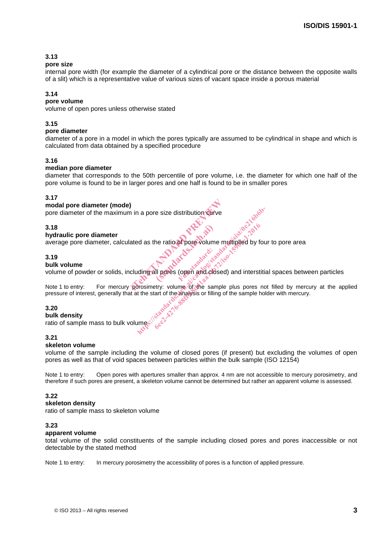# **3.13**

#### **pore size**

internal pore width (for example the diameter of a cylindrical pore or the distance between the opposite walls of a slit) which is a representative value of various sizes of vacant space inside a porous material

### **3.14**

# **pore volume**

volume of open pores unless otherwise stated

#### **3.15**

#### **pore diameter**

diameter of a pore in a model in which the pores typically are assumed to be cylindrical in shape and which is calculated from data obtained by a specified procedure

#### **3.16**

#### **median pore diameter**

diameter that corresponds to the 50th percentile of pore volume, i.e. the diameter for which one half of the pore volume is found to be in larger pores and one half is found to be in smaller pores

#### **3.17**

#### **modal pore diameter (mode)**

pore diameter of the maximum in a pore size distribution curve

#### **3.18**

#### **hydraulic pore diameter**

average pore diameter, calculated as the ratio of pore volume multiplied by four to pore area<br>3.19<br>bull: volume

#### **3.19**

#### **bulk volume**

volume of powder or solids, including all pores (open and closed) and interstitial spaces between particles the ratio of pore volume

Note 1 to entry: For mercury porosimetry: volume of the sample plus pores not filled by mercury at the applied pressure of interest, generally that at the start of the analysis or filling of the sample holder with mercury. https://standards.iteh.ai/catalogy.com<br>and as the ratio of pore Volume multiplied by for<br>anding all pores (open and closed) and interstitive<br>original pores (open and closed) and interstitive<br>the start of the analysis or fi the ratio of pore volume multiplied by f<br>the ratio of pore volume multiplied by f<br>all pores (open and closed) and interst<br>etry: volume of the sample plus pores<br>tart of the analysis or filling of the sample r<br>start of the a

#### **3.20**

#### **bulk density**

ratio of sample mass to bulk volume

#### **3.21**

#### **skeleton volume**

volume of the sample including the volume of closed pores (if present) but excluding the volumes of open pores as well as that of void spaces between particles within the bulk sample (ISO 12154) Note 1 to entry:<br>
1.18 and the solid constitution is a port of the maximum in a pore size distribution which was<br>
thy drawite pore diameter, calculated as the ratio of porosimum multiplied by four to pore area<br>
active the

Note 1 to entry: Open pores with apertures smaller than approx. 4 nm are not accessible to mercury porosimetry, and therefore if such pores are present, a skeleton volume cannot be determined but rather an apparent volume is assessed.

#### **3.22**

#### **skeleton density**

ratio of sample mass to skeleton volume

#### **3.23**

#### **apparent volume**

total volume of the solid constituents of the sample including closed pores and pores inaccessible or not detectable by the stated method